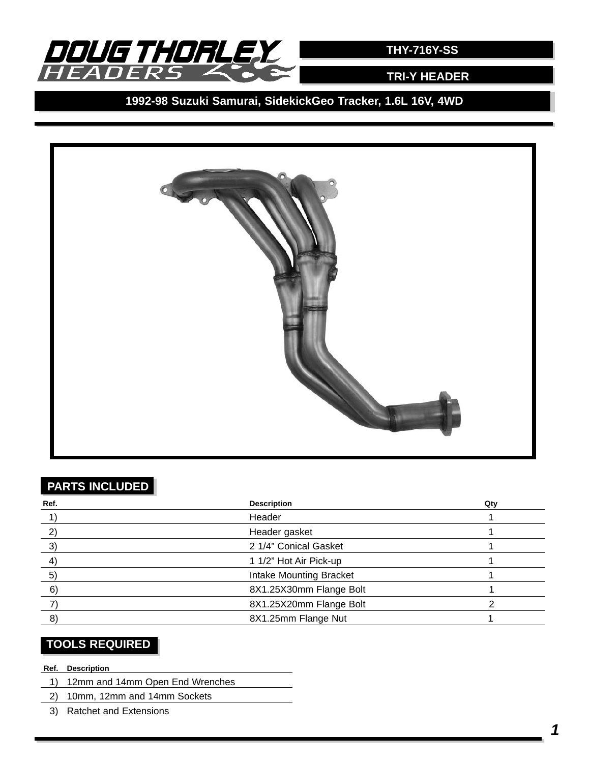

**TRI-Y HEADER**

**1992-98 Suzuki Samurai, SidekickGeo Tracker, 1.6L 16V, 4WD**



# **PARTS INCLUDED**

| Ref. | <b>Description</b>      | Qty |
|------|-------------------------|-----|
|      | Header                  |     |
|      | Header gasket           |     |
| 3)   | 2 1/4" Conical Gasket   |     |
| 4    | 1 1/2" Hot Air Pick-up  |     |
| 5)   | Intake Mounting Bracket |     |
| 6)   | 8X1.25X30mm Flange Bolt |     |
|      | 8X1.25X20mm Flange Bolt |     |
| 8)   | 8X1.25mm Flange Nut     |     |

# **TOOLS REQUIRED**

#### **Ref. Description**

- 1) 12mm and 14mm Open End Wrenches
- 2) 10mm, 12mm and 14mm Sockets
- 3) Ratchet and Extensions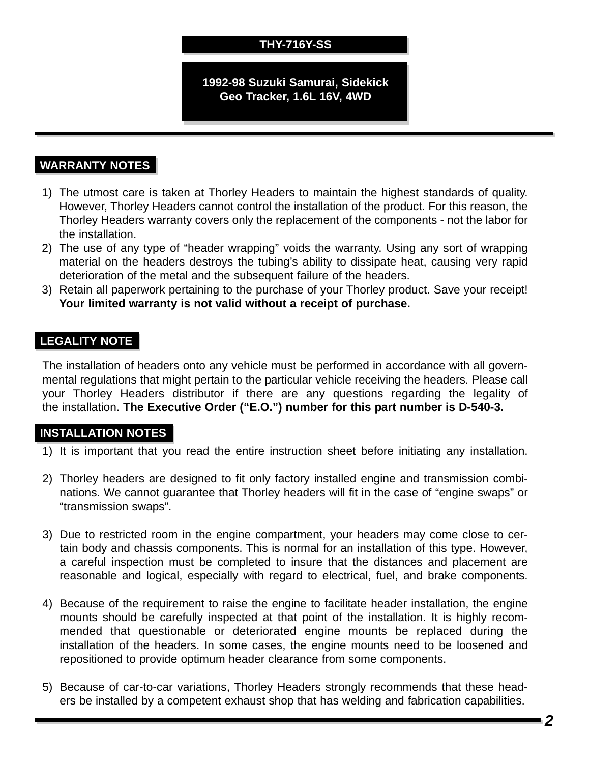# **THY-716Y-SS**

#### **1992-98 Suzuki Samurai, Sidekick Geo Tracker, 1.6L 16V, 4WD**

## **WARRANTY NOTES**

- 1) The utmost care is taken at Thorley Headers to maintain the highest standards of quality. However, Thorley Headers cannot control the installation of the product. For this reason, the Thorley Headers warranty covers only the replacement of the components - not the labor for the installation.
- 2) The use of any type of "header wrapping" voids the warranty. Using any sort of wrapping material on the headers destroys the tubing's ability to dissipate heat, causing very rapid deterioration of the metal and the subsequent failure of the headers.
- 3) Retain all paperwork pertaining to the purchase of your Thorley product. Save your receipt! **Your limited warranty is not valid without a receipt of purchase.**

#### **LEGALITY NOTE**

The installation of headers onto any vehicle must be performed in accordance with all governmental regulations that might pertain to the particular vehicle receiving the headers. Please call your Thorley Headers distributor if there are any questions regarding the legality of the installation. **The Executive Order ("E.O.") number for this part number is D-540-3.**

#### **INSTALLATION NOTES**

- 1) It is important that you read the entire instruction sheet before initiating any installation.
- 2) Thorley headers are designed to fit only factory installed engine and transmission combinations. We cannot guarantee that Thorley headers will fit in the case of "engine swaps" or "transmission swaps".
- 3) Due to restricted room in the engine compartment, your headers may come close to certain body and chassis components. This is normal for an installation of this type. However, a careful inspection must be completed to insure that the distances and placement are reasonable and logical, especially with regard to electrical, fuel, and brake components.
- 4) Because of the requirement to raise the engine to facilitate header installation, the engine mounts should be carefully inspected at that point of the installation. It is highly recommended that questionable or deteriorated engine mounts be replaced during the installation of the headers. In some cases, the engine mounts need to be loosened and repositioned to provide optimum header clearance from some components.
- 5) Because of car-to-car variations, Thorley Headers strongly recommends that these headers be installed by a competent exhaust shop that has welding and fabrication capabilities.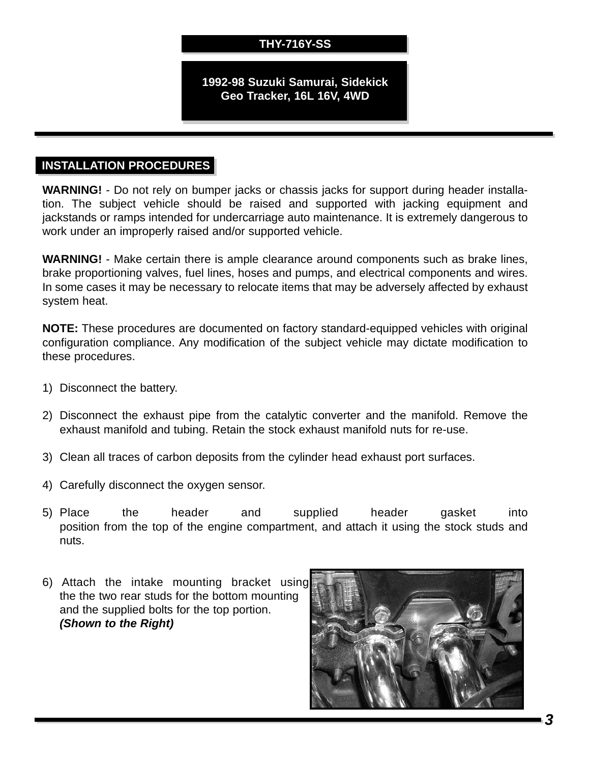## **THY-716Y-SS**

#### **1992-98 Suzuki Samurai, Sidekick Geo Tracker, 16L 16V, 4WD**

### **INSTALLATION PROCEDURES**

**WARNING!** - Do not rely on bumper jacks or chassis jacks for support during header installation. The subject vehicle should be raised and supported with jacking equipment and jackstands or ramps intended for undercarriage auto maintenance. It is extremely dangerous to work under an improperly raised and/or supported vehicle.

**WARNING!** - Make certain there is ample clearance around components such as brake lines, brake proportioning valves, fuel lines, hoses and pumps, and electrical components and wires. In some cases it may be necessary to relocate items that may be adversely affected by exhaust system heat.

**NOTE:** These procedures are documented on factory standard-equipped vehicles with original configuration compliance. Any modification of the subject vehicle may dictate modification to these procedures.

- 1) Disconnect the battery.
- 2) Disconnect the exhaust pipe from the catalytic converter and the manifold. Remove the exhaust manifold and tubing. Retain the stock exhaust manifold nuts for re-use.
- 3) Clean all traces of carbon deposits from the cylinder head exhaust port surfaces.
- 4) Carefully disconnect the oxygen sensor.
- 5) Place the header and supplied header gasket into position from the top of the engine compartment, and attach it using the stock studs and nuts.
- 6) Attach the intake mounting bracket using the the two rear studs for the bottom mounting and the supplied bolts for the top portion. *(Shown to the Right)*